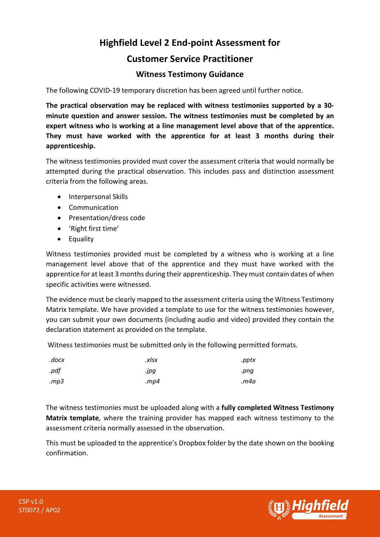## **Highfield Level 2 End-point Assessment for**

## **Customer Service Practitioner**

## **Witness Testimony Guidance**

The following COVID-19 temporary discretion has been agreed until further notice.

**The practical observation may be replaced with witness testimonies supported by a 30 minute question and answer session. The witness testimonies must be completed by an expert witness who is working at a line management level above that of the apprentice. They must have worked with the apprentice for at least 3 months during their apprenticeship.** 

The witness testimonies provided must cover the assessment criteria that would normally be attempted during the practical observation. This includes pass and distinction assessment criteria from the following areas.

- Interpersonal Skills
- Communication
- Presentation/dress code
- 'Right first time'
- Equality

Witness testimonies provided must be completed by a witness who is working at a line management level above that of the apprentice and they must have worked with the apprentice for at least 3 months during their apprenticeship. They must contain dates of when specific activities were witnessed.

The evidence must be clearly mapped to the assessment criteria using the Witness Testimony Matrix template. We have provided a template to use for the witness testimonies however, you can submit your own documents (including audio and video) provided they contain the declaration statement as provided on the template.

Witness testimonies must be submitted only in the following permitted formats.

| .docx | .xlsx | .pptx |
|-------|-------|-------|
| .pdf  | .jpg  | .pnq  |
| mp3   | mp4.  | m4a.  |

The witness testimonies must be uploaded along with a **fully completed Witness Testimony Matrix template**, where the training provider has mapped each witness testimony to the assessment criteria normally assessed in the observation.

This must be uploaded to the apprentice's Dropbox folder by the date shown on the booking confirmation.